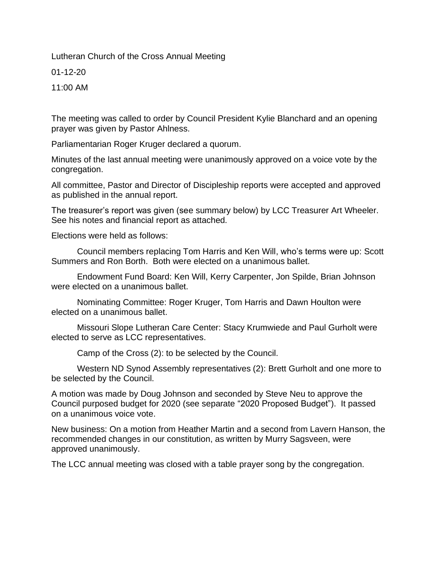Lutheran Church of the Cross Annual Meeting

01-12-20

11:00 AM

The meeting was called to order by Council President Kylie Blanchard and an opening prayer was given by Pastor Ahlness.

Parliamentarian Roger Kruger declared a quorum.

Minutes of the last annual meeting were unanimously approved on a voice vote by the congregation.

All committee, Pastor and Director of Discipleship reports were accepted and approved as published in the annual report.

The treasurer's report was given (see summary below) by LCC Treasurer Art Wheeler. See his notes and financial report as attached.

Elections were held as follows:

Council members replacing Tom Harris and Ken Will, who's terms were up: Scott Summers and Ron Borth. Both were elected on a unanimous ballet.

Endowment Fund Board: Ken Will, Kerry Carpenter, Jon Spilde, Brian Johnson were elected on a unanimous ballet.

Nominating Committee: Roger Kruger, Tom Harris and Dawn Houlton were elected on a unanimous ballet.

Missouri Slope Lutheran Care Center: Stacy Krumwiede and Paul Gurholt were elected to serve as LCC representatives.

Camp of the Cross (2): to be selected by the Council.

Western ND Synod Assembly representatives (2): Brett Gurholt and one more to be selected by the Council.

A motion was made by Doug Johnson and seconded by Steve Neu to approve the Council purposed budget for 2020 (see separate "2020 Proposed Budget"). It passed on a unanimous voice vote.

New business: On a motion from Heather Martin and a second from Lavern Hanson, the recommended changes in our constitution, as written by Murry Sagsveen, were approved unanimously.

The LCC annual meeting was closed with a table prayer song by the congregation.